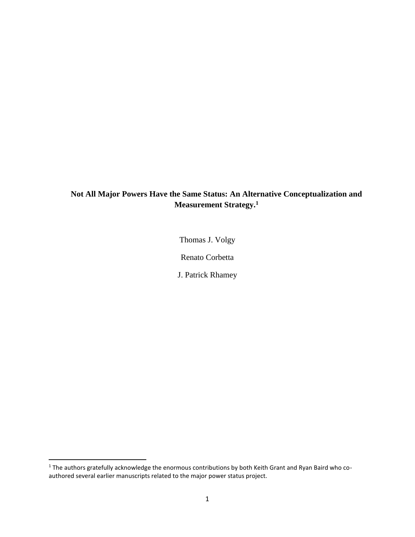## **Not All Major Powers Have the Same Status: An Alternative Conceptualization and Measurement Strategy. 1**

Thomas J. Volgy

Renato Corbetta

J. Patrick Rhamey

 $\overline{\phantom{a}}$ 

 $^1$  The authors gratefully acknowledge the enormous contributions by both Keith Grant and Ryan Baird who coauthored several earlier manuscripts related to the major power status project.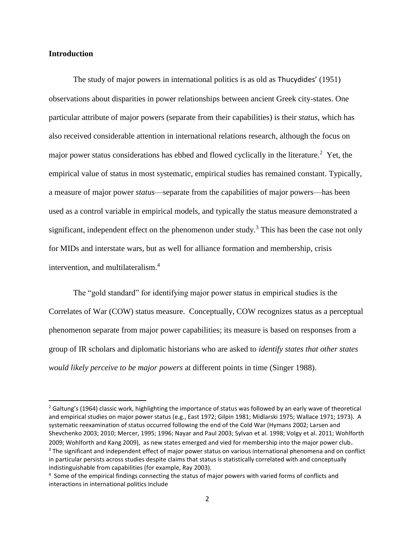#### **Introduction**

l

The study of major powers in international politics is as old as Thucydides' (1951) observations about disparities in power relationships between ancient Greek city-states. One particular attribute of major powers (separate from their capabilities) is their *status*, which has also received considerable attention in international relations research, although the focus on major power status considerations has ebbed and flowed cyclically in the literature.<sup>2</sup> Yet, the empirical value of status in most systematic, empirical studies has remained constant. Typically, a measure of major power *status*—separate from the capabilities of major powers—has been used as a control variable in empirical models, and typically the status measure demonstrated a significant, independent effect on the phenomenon under study.<sup>3</sup> This has been the case not only for MIDs and interstate wars, but as well for alliance formation and membership, crisis intervention, and multilateralism.<sup>4</sup>

The "gold standard" for identifying major power status in empirical studies is the Correlates of War (COW) status measure. Conceptually, COW recognizes status as a perceptual phenomenon separate from major power capabilities; its measure is based on responses from a group of IR scholars and diplomatic historians who are asked to *identify states that other states would likely perceive to be major powers* at different points in time (Singer 1988).

 $2$  Galtung's (1964) classic work, highlighting the importance of status was followed by an early wave of theoretical and empirical studies on major power status (e.g., East 1972; Gilpin 1981; Midlarski 1975; Wallace 1971; 1973). A systematic reexamination of status occurred following the end of the Cold War (Hymans 2002; Larsen and Shevchenko 2003; 2010; Mercer, 1995; 1996; Nayar and Paul 2003; Sylvan et al. 1998; Volgy et al. 2011; Wohlforth 2009; Wohlforth and Kang 2009), as new states emerged and vied for membership into the major power club. <sup>3</sup> The significant and independent effect of major power status on various international phenomena and on conflict in particular persists across studies despite claims that status is statistically correlated with and conceptually indistinguishable from capabilities (for example, Ray 2003).

<sup>&</sup>lt;sup>4</sup> Some of the empirical findings connecting the status of major powers with varied forms of conflicts and interactions in international politics include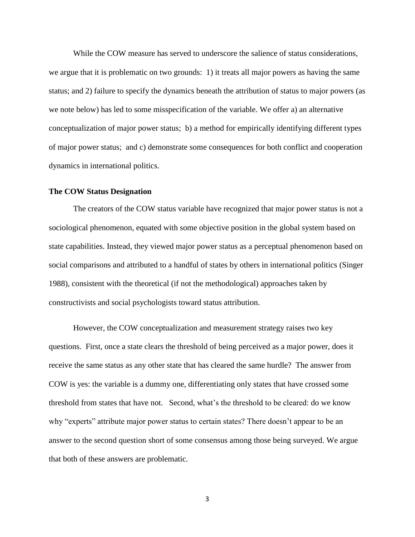While the COW measure has served to underscore the salience of status considerations, we argue that it is problematic on two grounds: 1) it treats all major powers as having the same status; and 2) failure to specify the dynamics beneath the attribution of status to major powers (as we note below) has led to some misspecification of the variable. We offer a) an alternative conceptualization of major power status; b) a method for empirically identifying different types of major power status; and c) demonstrate some consequences for both conflict and cooperation dynamics in international politics.

#### **The COW Status Designation**

The creators of the COW status variable have recognized that major power status is not a sociological phenomenon, equated with some objective position in the global system based on state capabilities. Instead, they viewed major power status as a perceptual phenomenon based on social comparisons and attributed to a handful of states by others in international politics (Singer 1988), consistent with the theoretical (if not the methodological) approaches taken by constructivists and social psychologists toward status attribution.

However, the COW conceptualization and measurement strategy raises two key questions. First, once a state clears the threshold of being perceived as a major power, does it receive the same status as any other state that has cleared the same hurdle? The answer from COW is yes: the variable is a dummy one, differentiating only states that have crossed some threshold from states that have not. Second, what's the threshold to be cleared: do we know why "experts" attribute major power status to certain states? There doesn't appear to be an answer to the second question short of some consensus among those being surveyed. We argue that both of these answers are problematic.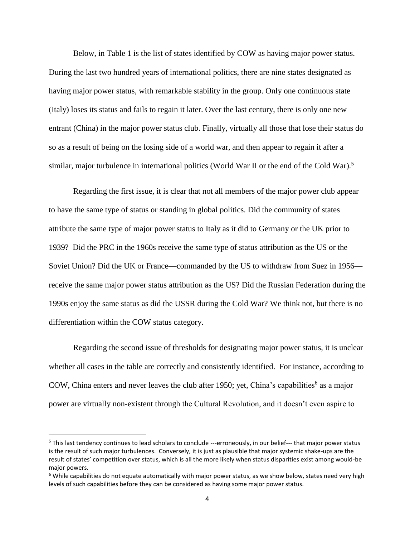Below, in Table 1 is the list of states identified by COW as having major power status. During the last two hundred years of international politics, there are nine states designated as having major power status, with remarkable stability in the group. Only one continuous state (Italy) loses its status and fails to regain it later. Over the last century, there is only one new entrant (China) in the major power status club. Finally, virtually all those that lose their status do so as a result of being on the losing side of a world war, and then appear to regain it after a similar, major turbulence in international politics (World War II or the end of the Cold War).<sup>5</sup>

Regarding the first issue, it is clear that not all members of the major power club appear to have the same type of status or standing in global politics. Did the community of states attribute the same type of major power status to Italy as it did to Germany or the UK prior to 1939? Did the PRC in the 1960s receive the same type of status attribution as the US or the Soviet Union? Did the UK or France—commanded by the US to withdraw from Suez in 1956 receive the same major power status attribution as the US? Did the Russian Federation during the 1990s enjoy the same status as did the USSR during the Cold War? We think not, but there is no differentiation within the COW status category.

Regarding the second issue of thresholds for designating major power status, it is unclear whether all cases in the table are correctly and consistently identified. For instance, according to COW, China enters and never leaves the club after 1950; yet, China's capabilities<sup>6</sup> as a major power are virtually non-existent through the Cultural Revolution, and it doesn't even aspire to

 $\overline{a}$ 

<sup>&</sup>lt;sup>5</sup> This last tendency continues to lead scholars to conclude ---erroneously, in our belief--- that major power status is the result of such major turbulences. Conversely, it is just as plausible that major systemic shake-ups are the result of states' competition over status, which is all the more likely when status disparities exist among would-be major powers.

 $6$  While capabilities do not equate automatically with major power status, as we show below, states need very high levels of such capabilities before they can be considered as having some major power status.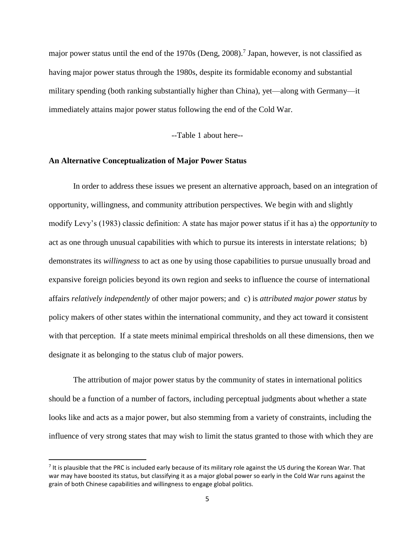major power status until the end of the 1970s (Deng, 2008).<sup>7</sup> Japan, however, is not classified as having major power status through the 1980s, despite its formidable economy and substantial military spending (both ranking substantially higher than China), yet—along with Germany—it immediately attains major power status following the end of the Cold War.

--Table 1 about here--

#### **An Alternative Conceptualization of Major Power Status**

 $\overline{\phantom{a}}$ 

In order to address these issues we present an alternative approach, based on an integration of opportunity, willingness, and community attribution perspectives. We begin with and slightly modify Levy's (1983) classic definition: A state has major power status if it has a) the *opportunity* to act as one through unusual capabilities with which to pursue its interests in interstate relations; b) demonstrates its *willingness* to act as one by using those capabilities to pursue unusually broad and expansive foreign policies beyond its own region and seeks to influence the course of international affairs *relatively independently* of other major powers; and c) is *attributed major power status* by policy makers of other states within the international community, and they act toward it consistent with that perception. If a state meets minimal empirical thresholds on all these dimensions, then we designate it as belonging to the status club of major powers.

The attribution of major power status by the community of states in international politics should be a function of a number of factors, including perceptual judgments about whether a state looks like and acts as a major power, but also stemming from a variety of constraints, including the influence of very strong states that may wish to limit the status granted to those with which they are

 $<sup>7</sup>$  It is plausible that the PRC is included early because of its military role against the US during the Korean War. That</sup> war may have boosted its status, but classifying it as a major global power so early in the Cold War runs against the grain of both Chinese capabilities and willingness to engage global politics.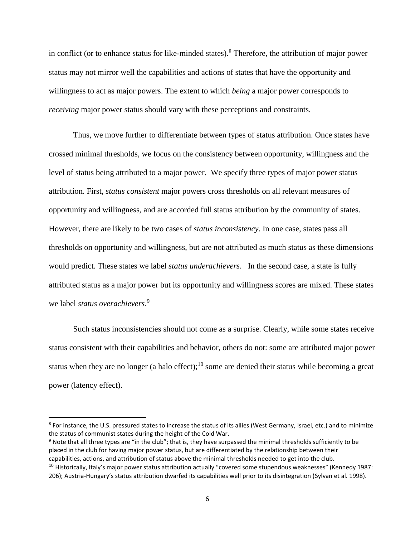in conflict (or to enhance status for like-minded states).<sup>8</sup> Therefore, the attribution of major power status may not mirror well the capabilities and actions of states that have the opportunity and willingness to act as major powers. The extent to which *being* a major power corresponds to *receiving* major power status should vary with these perceptions and constraints.

Thus, we move further to differentiate between types of status attribution. Once states have crossed minimal thresholds, we focus on the consistency between opportunity, willingness and the level of status being attributed to a major power. We specify three types of major power status attribution. First, *status consistent* major powers cross thresholds on all relevant measures of opportunity and willingness, and are accorded full status attribution by the community of states. However, there are likely to be two cases of *status inconsistency*. In one case, states pass all thresholds on opportunity and willingness, but are not attributed as much status as these dimensions would predict. These states we label *status underachievers*. In the second case, a state is fully attributed status as a major power but its opportunity and willingness scores are mixed. These states we label *status overachievers*. 9

Such status inconsistencies should not come as a surprise. Clearly, while some states receive status consistent with their capabilities and behavior, others do not: some are attributed major power status when they are no longer (a halo effect);<sup>10</sup> some are denied their status while becoming a great power (latency effect).

 $\overline{\phantom{a}}$ 

<sup>&</sup>lt;sup>8</sup> For instance, the U.S. pressured states to increase the status of its allies (West Germany, Israel, etc.) and to minimize the status of communist states during the height of the Cold War.

<sup>9</sup> Note that all three types are "in the club"; that is, they have surpassed the minimal thresholds sufficiently to be placed in the club for having major power status, but are differentiated by the relationship between their capabilities, actions, and attribution of status above the minimal thresholds needed to get into the club.

<sup>&</sup>lt;sup>10</sup> Historically, Italy's major power status attribution actually "covered some stupendous weaknesses" (Kennedy 1987: 206); Austria-Hungary's status attribution dwarfed its capabilities well prior to its disintegration (Sylvan et al. 1998).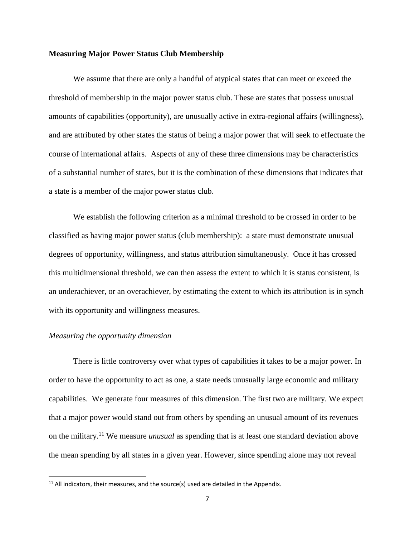#### **Measuring Major Power Status Club Membership**

We assume that there are only a handful of atypical states that can meet or exceed the threshold of membership in the major power status club. These are states that possess unusual amounts of capabilities (opportunity), are unusually active in extra-regional affairs (willingness), and are attributed by other states the status of being a major power that will seek to effectuate the course of international affairs. Aspects of any of these three dimensions may be characteristics of a substantial number of states, but it is the combination of these dimensions that indicates that a state is a member of the major power status club.

We establish the following criterion as a minimal threshold to be crossed in order to be classified as having major power status (club membership): a state must demonstrate unusual degrees of opportunity, willingness, and status attribution simultaneously. Once it has crossed this multidimensional threshold, we can then assess the extent to which it is status consistent, is an underachiever, or an overachiever, by estimating the extent to which its attribution is in synch with its opportunity and willingness measures.

#### *Measuring the opportunity dimension*

 $\overline{\phantom{a}}$ 

There is little controversy over what types of capabilities it takes to be a major power. In order to have the opportunity to act as one, a state needs unusually large economic and military capabilities. We generate four measures of this dimension. The first two are military. We expect that a major power would stand out from others by spending an unusual amount of its revenues on the military. <sup>11</sup> We measure *unusual* as spending that is at least one standard deviation above the mean spending by all states in a given year. However, since spending alone may not reveal

 $11$  All indicators, their measures, and the source(s) used are detailed in the Appendix.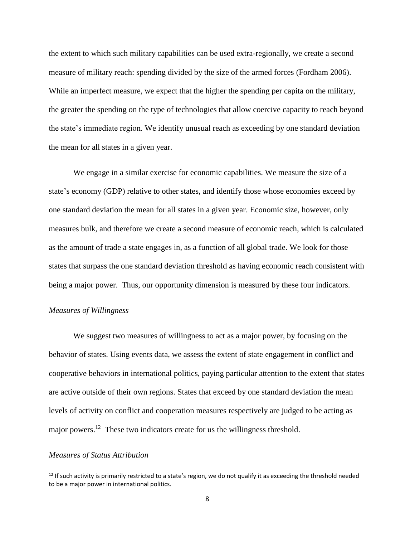the extent to which such military capabilities can be used extra-regionally, we create a second measure of military reach: spending divided by the size of the armed forces (Fordham 2006). While an imperfect measure, we expect that the higher the spending per capita on the military, the greater the spending on the type of technologies that allow coercive capacity to reach beyond the state's immediate region. We identify unusual reach as exceeding by one standard deviation the mean for all states in a given year.

We engage in a similar exercise for economic capabilities. We measure the size of a state's economy (GDP) relative to other states, and identify those whose economies exceed by one standard deviation the mean for all states in a given year. Economic size, however, only measures bulk, and therefore we create a second measure of economic reach, which is calculated as the amount of trade a state engages in, as a function of all global trade. We look for those states that surpass the one standard deviation threshold as having economic reach consistent with being a major power. Thus, our opportunity dimension is measured by these four indicators.

#### *Measures of Willingness*

We suggest two measures of willingness to act as a major power, by focusing on the behavior of states. Using events data, we assess the extent of state engagement in conflict and cooperative behaviors in international politics, paying particular attention to the extent that states are active outside of their own regions. States that exceed by one standard deviation the mean levels of activity on conflict and cooperation measures respectively are judged to be acting as major powers.<sup>12</sup> These two indicators create for us the willingness threshold.

#### *Measures of Status Attribution*

l

 $12$  If such activity is primarily restricted to a state's region, we do not qualify it as exceeding the threshold needed to be a major power in international politics.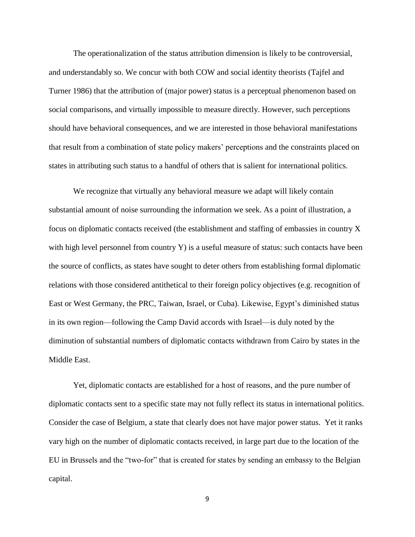The operationalization of the status attribution dimension is likely to be controversial, and understandably so. We concur with both COW and social identity theorists (Tajfel and Turner 1986) that the attribution of (major power) status is a perceptual phenomenon based on social comparisons, and virtually impossible to measure directly. However, such perceptions should have behavioral consequences, and we are interested in those behavioral manifestations that result from a combination of state policy makers' perceptions and the constraints placed on states in attributing such status to a handful of others that is salient for international politics.

We recognize that virtually any behavioral measure we adapt will likely contain substantial amount of noise surrounding the information we seek. As a point of illustration, a focus on diplomatic contacts received (the establishment and staffing of embassies in country X with high level personnel from country Y) is a useful measure of status: such contacts have been the source of conflicts, as states have sought to deter others from establishing formal diplomatic relations with those considered antithetical to their foreign policy objectives (e.g. recognition of East or West Germany, the PRC, Taiwan, Israel, or Cuba). Likewise, Egypt's diminished status in its own region—following the Camp David accords with Israel—is duly noted by the diminution of substantial numbers of diplomatic contacts withdrawn from Cairo by states in the Middle East.

Yet, diplomatic contacts are established for a host of reasons, and the pure number of diplomatic contacts sent to a specific state may not fully reflect its status in international politics. Consider the case of Belgium, a state that clearly does not have major power status. Yet it ranks vary high on the number of diplomatic contacts received, in large part due to the location of the EU in Brussels and the "two-for" that is created for states by sending an embassy to the Belgian capital.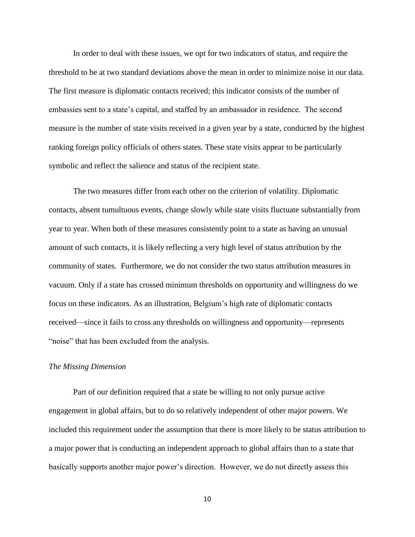In order to deal with these issues, we opt for two indicators of status, and require the threshold to be at two standard deviations above the mean in order to minimize noise in our data. The first measure is diplomatic contacts received; this indicator consists of the number of embassies sent to a state's capital, and staffed by an ambassador in residence. The second measure is the number of state visits received in a given year by a state, conducted by the highest ranking foreign policy officials of others states. These state visits appear to be particularly symbolic and reflect the salience and status of the recipient state.

The two measures differ from each other on the criterion of volatility. Diplomatic contacts, absent tumultuous events, change slowly while state visits fluctuate substantially from year to year. When both of these measures consistently point to a state as having an unusual amount of such contacts, it is likely reflecting a very high level of status attribution by the community of states. Furthermore, we do not consider the two status attribution measures in vacuum. Only if a state has crossed minimum thresholds on opportunity and willingness do we focus on these indicators. As an illustration, Belgium's high rate of diplomatic contacts received—since it fails to cross any thresholds on willingness and opportunity—represents "noise" that has been excluded from the analysis.

#### *The Missing Dimension*

Part of our definition required that a state be willing to not only pursue active engagement in global affairs, but to do so relatively independent of other major powers. We included this requirement under the assumption that there is more likely to be status attribution to a major power that is conducting an independent approach to global affairs than to a state that basically supports another major power's direction. However, we do not directly assess this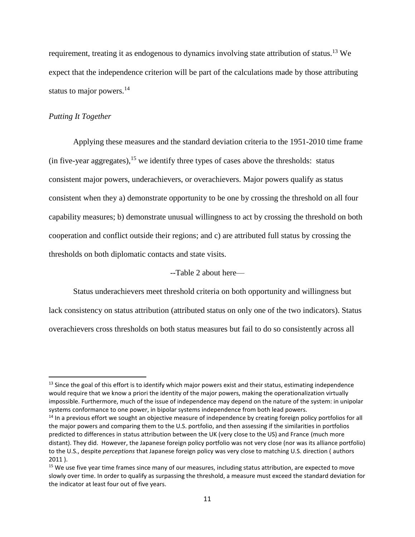requirement, treating it as endogenous to dynamics involving state attribution of status.<sup>13</sup> We expect that the independence criterion will be part of the calculations made by those attributing status to major powers.<sup>14</sup>

#### *Putting It Together*

 $\overline{a}$ 

Applying these measures and the standard deviation criteria to the 1951-2010 time frame (in five-year aggregates),<sup>15</sup> we identify three types of cases above the thresholds: status consistent major powers, underachievers, or overachievers. Major powers qualify as status consistent when they a) demonstrate opportunity to be one by crossing the threshold on all four capability measures; b) demonstrate unusual willingness to act by crossing the threshold on both cooperation and conflict outside their regions; and c) are attributed full status by crossing the thresholds on both diplomatic contacts and state visits.

--Table 2 about here—

Status underachievers meet threshold criteria on both opportunity and willingness but lack consistency on status attribution (attributed status on only one of the two indicators). Status

overachievers cross thresholds on both status measures but fail to do so consistently across all

 $13$  Since the goal of this effort is to identify which major powers exist and their status, estimating independence would require that we know a priori the identity of the major powers, making the operationalization virtually impossible. Furthermore, much of the issue of independence may depend on the nature of the system: in unipolar systems conformance to one power, in bipolar systems independence from both lead powers.

<sup>&</sup>lt;sup>14</sup> In a previous effort we sought an objective measure of independence by creating foreign policy portfolios for all the major powers and comparing them to the U.S. portfolio, and then assessing if the similarities in portfolios predicted to differences in status attribution between the UK (very close to the US) and France (much more distant). They did. However, the Japanese foreign policy portfolio was not very close (nor was its alliance portfolio) to the U.S., despite *perceptions* that Japanese foreign policy was very close to matching U.S. direction ( authors 2011 ).

<sup>&</sup>lt;sup>15</sup> We use five year time frames since many of our measures, including status attribution, are expected to move slowly over time. In order to qualify as surpassing the threshold, a measure must exceed the standard deviation for the indicator at least four out of five years.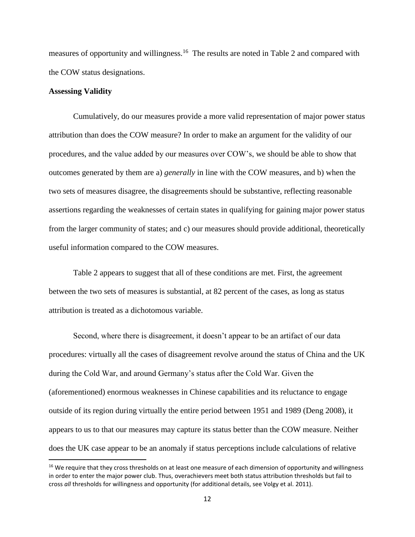measures of opportunity and willingness.<sup>16</sup> The results are noted in Table 2 and compared with the COW status designations.

#### **Assessing Validity**

 $\overline{\phantom{a}}$ 

Cumulatively, do our measures provide a more valid representation of major power status attribution than does the COW measure? In order to make an argument for the validity of our procedures, and the value added by our measures over COW's, we should be able to show that outcomes generated by them are a) *generally* in line with the COW measures, and b) when the two sets of measures disagree, the disagreements should be substantive, reflecting reasonable assertions regarding the weaknesses of certain states in qualifying for gaining major power status from the larger community of states; and c) our measures should provide additional, theoretically useful information compared to the COW measures.

Table 2 appears to suggest that all of these conditions are met. First, the agreement between the two sets of measures is substantial, at 82 percent of the cases, as long as status attribution is treated as a dichotomous variable.

Second, where there is disagreement, it doesn't appear to be an artifact of our data procedures: virtually all the cases of disagreement revolve around the status of China and the UK during the Cold War, and around Germany's status after the Cold War. Given the (aforementioned) enormous weaknesses in Chinese capabilities and its reluctance to engage outside of its region during virtually the entire period between 1951 and 1989 (Deng 2008), it appears to us to that our measures may capture its status better than the COW measure. Neither does the UK case appear to be an anomaly if status perceptions include calculations of relative

<sup>&</sup>lt;sup>16</sup> We require that they cross thresholds on at least one measure of each dimension of opportunity and willingness in order to enter the major power club. Thus, overachievers meet both status attribution thresholds but fail to cross *all* thresholds for willingness and opportunity (for additional details, see Volgy et al. 2011).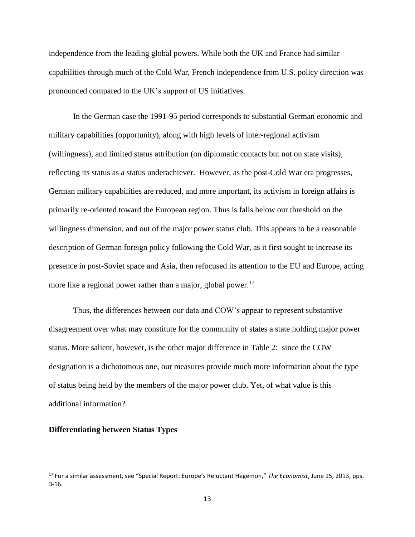independence from the leading global powers. While both the UK and France had similar capabilities through much of the Cold War, French independence from U.S. policy direction was pronounced compared to the UK's support of US initiatives.

In the German case the 1991-95 period corresponds to substantial German economic and military capabilities (opportunity), along with high levels of inter-regional activism (willingness), and limited status attribution (on diplomatic contacts but not on state visits), reflecting its status as a status underachiever. However, as the post-Cold War era progresses, German military capabilities are reduced, and more important, its activism in foreign affairs is primarily re-oriented toward the European region. Thus is falls below our threshold on the willingness dimension, and out of the major power status club. This appears to be a reasonable description of German foreign policy following the Cold War, as it first sought to increase its presence in post-Soviet space and Asia, then refocused its attention to the EU and Europe, acting more like a regional power rather than a major, global power.<sup>17</sup>

Thus, the differences between our data and COW's appear to represent substantive disagreement over what may constitute for the community of states a state holding major power status. More salient, however, is the other major difference in Table 2: since the COW designation is a dichotomous one, our measures provide much more information about the type of status being held by the members of the major power club. Yet, of what value is this additional information?

#### **Differentiating between Status Types**

l

<sup>17</sup> For a similar assessment, see "Special Report: Europe's Reluctant Hegemon," *The Economist*, June 15, 2013, pps. 3-16.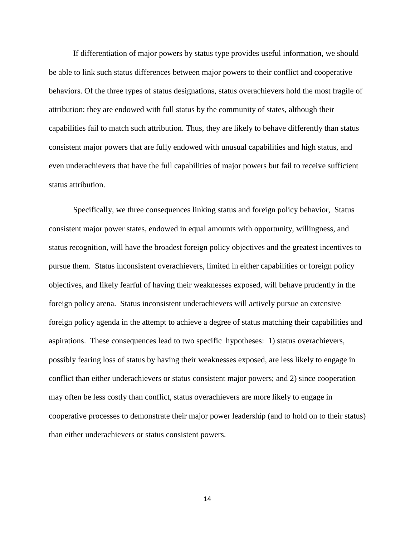If differentiation of major powers by status type provides useful information, we should be able to link such status differences between major powers to their conflict and cooperative behaviors. Of the three types of status designations, status overachievers hold the most fragile of attribution: they are endowed with full status by the community of states, although their capabilities fail to match such attribution. Thus, they are likely to behave differently than status consistent major powers that are fully endowed with unusual capabilities and high status, and even underachievers that have the full capabilities of major powers but fail to receive sufficient status attribution.

Specifically, we three consequences linking status and foreign policy behavior, Status consistent major power states, endowed in equal amounts with opportunity, willingness, and status recognition, will have the broadest foreign policy objectives and the greatest incentives to pursue them. Status inconsistent overachievers, limited in either capabilities or foreign policy objectives, and likely fearful of having their weaknesses exposed, will behave prudently in the foreign policy arena. Status inconsistent underachievers will actively pursue an extensive foreign policy agenda in the attempt to achieve a degree of status matching their capabilities and aspirations. These consequences lead to two specific hypotheses: 1) status overachievers, possibly fearing loss of status by having their weaknesses exposed, are less likely to engage in conflict than either underachievers or status consistent major powers; and 2) since cooperation may often be less costly than conflict, status overachievers are more likely to engage in cooperative processes to demonstrate their major power leadership (and to hold on to their status) than either underachievers or status consistent powers.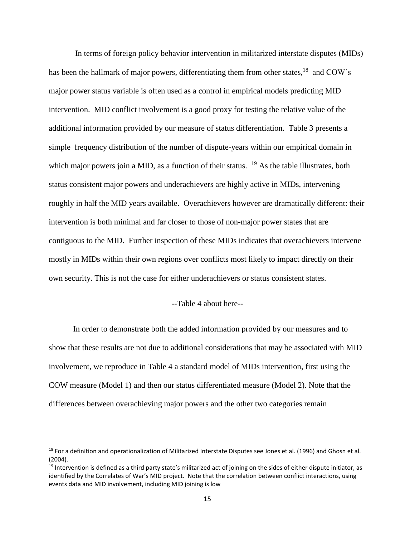In terms of foreign policy behavior intervention in militarized interstate disputes (MIDs) has been the hallmark of major powers, differentiating them from other states,<sup>18</sup> and COW's major power status variable is often used as a control in empirical models predicting MID intervention. MID conflict involvement is a good proxy for testing the relative value of the additional information provided by our measure of status differentiation. Table 3 presents a simple frequency distribution of the number of dispute-years within our empirical domain in which major powers join a MID, as a function of their status.  $19$  As the table illustrates, both status consistent major powers and underachievers are highly active in MIDs, intervening roughly in half the MID years available. Overachievers however are dramatically different: their intervention is both minimal and far closer to those of non-major power states that are contiguous to the MID. Further inspection of these MIDs indicates that overachievers intervene mostly in MIDs within their own regions over conflicts most likely to impact directly on their own security. This is not the case for either underachievers or status consistent states.

#### --Table 4 about here--

In order to demonstrate both the added information provided by our measures and to show that these results are not due to additional considerations that may be associated with MID involvement, we reproduce in Table 4 a standard model of MIDs intervention, first using the COW measure (Model 1) and then our status differentiated measure (Model 2). Note that the differences between overachieving major powers and the other two categories remain

l

<sup>&</sup>lt;sup>18</sup> For a definition and operationalization of Militarized Interstate Disputes see Jones et al. (1996) and Ghosn et al. (2004).

<sup>&</sup>lt;sup>19</sup> Intervention is defined as a third party state's militarized act of joining on the sides of either dispute initiator, as identified by the Correlates of War's MID project. Note that the correlation between conflict interactions, using events data and MID involvement, including MID joining is low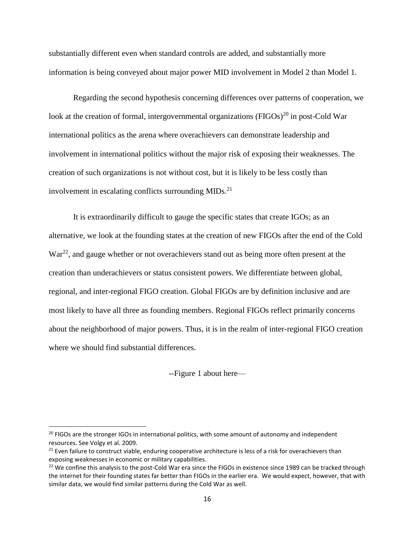substantially different even when standard controls are added, and substantially more information is being conveyed about major power MID involvement in Model 2 than Model 1.

Regarding the second hypothesis concerning differences over patterns of cooperation, we look at the creation of formal, intergovernmental organizations (FIGOs)<sup>20</sup> in post-Cold War international politics as the arena where overachievers can demonstrate leadership and involvement in international politics without the major risk of exposing their weaknesses. The creation of such organizations is not without cost, but it is likely to be less costly than involvement in escalating conflicts surrounding MIDs.<sup>21</sup>

It is extraordinarily difficult to gauge the specific states that create IGOs; as an alternative, we look at the founding states at the creation of new FIGOs after the end of the Cold War<sup>22</sup>, and gauge whether or not overachievers stand out as being more often present at the creation than underachievers or status consistent powers. We differentiate between global, regional, and inter-regional FIGO creation. Global FIGOs are by definition inclusive and are most likely to have all three as founding members. Regional FIGOs reflect primarily concerns about the neighborhood of major powers. Thus, it is in the realm of inter-regional FIGO creation where we should find substantial differences.

--Figure 1 about here—

 $\overline{\phantom{a}}$ 

 $20$  FIGOs are the stronger IGOs in international politics, with some amount of autonomy and independent resources. See Volgy et al. 2009.

<sup>&</sup>lt;sup>21</sup> Even failure to construct viable, enduring cooperative architecture is less of a risk for overachievers than exposing weaknesses in economic or military capabilities.

 $22$  We confine this analysis to the post-Cold War era since the FIGOs in existence since 1989 can be tracked through the internet for their founding states far better than FIGOs in the earlier era. We would expect, however, that with similar data, we would find similar patterns during the Cold War as well.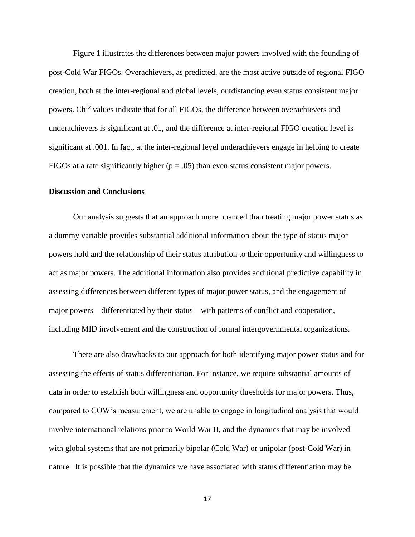Figure 1 illustrates the differences between major powers involved with the founding of post-Cold War FIGOs. Overachievers, as predicted, are the most active outside of regional FIGO creation, both at the inter-regional and global levels, outdistancing even status consistent major powers. Chi<sup>2</sup> values indicate that for all FIGOs, the difference between overachievers and underachievers is significant at .01, and the difference at inter-regional FIGO creation level is significant at .001. In fact, at the inter-regional level underachievers engage in helping to create FIGOs at a rate significantly higher ( $p = .05$ ) than even status consistent major powers.

#### **Discussion and Conclusions**

Our analysis suggests that an approach more nuanced than treating major power status as a dummy variable provides substantial additional information about the type of status major powers hold and the relationship of their status attribution to their opportunity and willingness to act as major powers. The additional information also provides additional predictive capability in assessing differences between different types of major power status, and the engagement of major powers—differentiated by their status—with patterns of conflict and cooperation, including MID involvement and the construction of formal intergovernmental organizations.

There are also drawbacks to our approach for both identifying major power status and for assessing the effects of status differentiation. For instance, we require substantial amounts of data in order to establish both willingness and opportunity thresholds for major powers. Thus, compared to COW's measurement, we are unable to engage in longitudinal analysis that would involve international relations prior to World War II, and the dynamics that may be involved with global systems that are not primarily bipolar (Cold War) or unipolar (post-Cold War) in nature. It is possible that the dynamics we have associated with status differentiation may be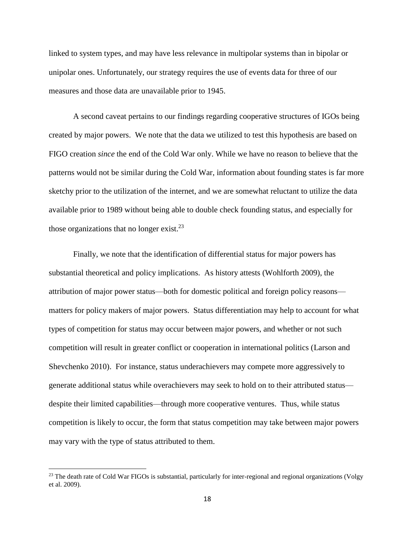linked to system types, and may have less relevance in multipolar systems than in bipolar or unipolar ones. Unfortunately, our strategy requires the use of events data for three of our measures and those data are unavailable prior to 1945.

A second caveat pertains to our findings regarding cooperative structures of IGOs being created by major powers. We note that the data we utilized to test this hypothesis are based on FIGO creation *since* the end of the Cold War only. While we have no reason to believe that the patterns would not be similar during the Cold War, information about founding states is far more sketchy prior to the utilization of the internet, and we are somewhat reluctant to utilize the data available prior to 1989 without being able to double check founding status, and especially for those organizations that no longer exist. $^{23}$ 

Finally, we note that the identification of differential status for major powers has substantial theoretical and policy implications. As history attests (Wohlforth 2009), the attribution of major power status—both for domestic political and foreign policy reasons matters for policy makers of major powers. Status differentiation may help to account for what types of competition for status may occur between major powers, and whether or not such competition will result in greater conflict or cooperation in international politics (Larson and Shevchenko 2010). For instance, status underachievers may compete more aggressively to generate additional status while overachievers may seek to hold on to their attributed status despite their limited capabilities—through more cooperative ventures. Thus, while status competition is likely to occur, the form that status competition may take between major powers may vary with the type of status attributed to them.

 $\overline{\phantom{a}}$ 

 $^{23}$  The death rate of Cold War FIGOs is substantial, particularly for inter-regional and regional organizations (Volgy et al. 2009).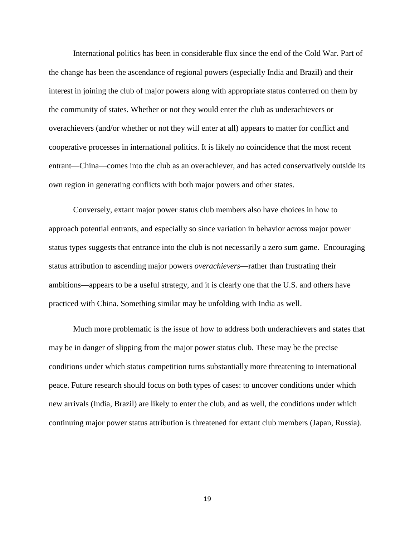International politics has been in considerable flux since the end of the Cold War. Part of the change has been the ascendance of regional powers (especially India and Brazil) and their interest in joining the club of major powers along with appropriate status conferred on them by the community of states. Whether or not they would enter the club as underachievers or overachievers (and/or whether or not they will enter at all) appears to matter for conflict and cooperative processes in international politics. It is likely no coincidence that the most recent entrant—China—comes into the club as an overachiever, and has acted conservatively outside its own region in generating conflicts with both major powers and other states.

Conversely, extant major power status club members also have choices in how to approach potential entrants, and especially so since variation in behavior across major power status types suggests that entrance into the club is not necessarily a zero sum game. Encouraging status attribution to ascending major powers *overachievers*—rather than frustrating their ambitions—appears to be a useful strategy, and it is clearly one that the U.S. and others have practiced with China. Something similar may be unfolding with India as well.

Much more problematic is the issue of how to address both underachievers and states that may be in danger of slipping from the major power status club. These may be the precise conditions under which status competition turns substantially more threatening to international peace. Future research should focus on both types of cases: to uncover conditions under which new arrivals (India, Brazil) are likely to enter the club, and as well, the conditions under which continuing major power status attribution is threatened for extant club members (Japan, Russia).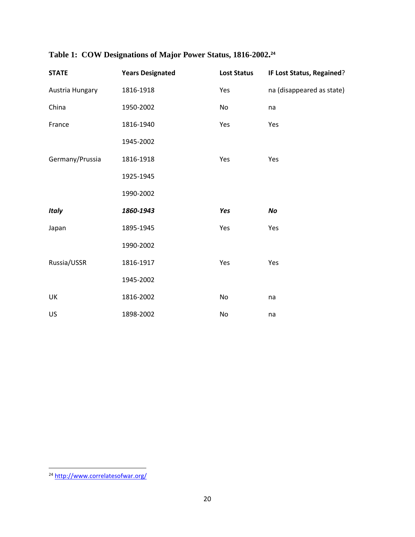| <b>STATE</b>    | <b>Years Designated</b> | <b>Lost Status</b> | IF Lost Status, Regained? |
|-----------------|-------------------------|--------------------|---------------------------|
| Austria Hungary | 1816-1918               | Yes                | na (disappeared as state) |
| China           | 1950-2002               | No                 | na                        |
| France          | 1816-1940               | Yes                | Yes                       |
|                 | 1945-2002               |                    |                           |
| Germany/Prussia | 1816-1918               | Yes                | Yes                       |
|                 | 1925-1945               |                    |                           |
|                 | 1990-2002               |                    |                           |
| <b>Italy</b>    | 1860-1943               | Yes                | No                        |
| Japan           | 1895-1945               | Yes                | Yes                       |
|                 | 1990-2002               |                    |                           |
| Russia/USSR     | 1816-1917               | Yes                | Yes                       |
|                 | 1945-2002               |                    |                           |
| UK              | 1816-2002               | No                 | na                        |
| <b>US</b>       | 1898-2002               | No                 | na                        |

## **Table 1: COW Designations of Major Power Status, 1816-2002. 24**

l

<sup>&</sup>lt;sup>24</sup> http://www.correlatesofwar.org/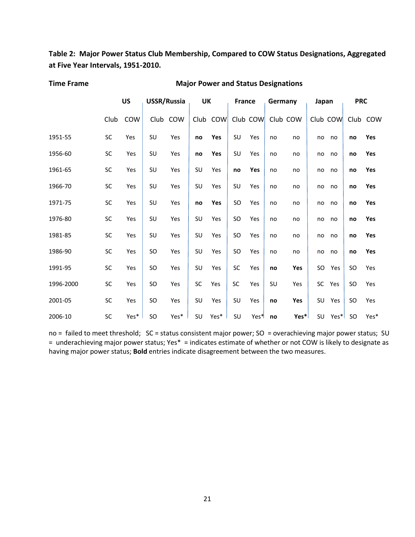**Table 2: Major Power Status Club Membership, Compared to COW Status Designations, Aggregated at Five Year Intervals, 1951-2010.**

| <b>Time Frame</b> |  |
|-------------------|--|
|-------------------|--|

#### **Major Power and Status Designations**

|           |           | <b>US</b>  |    | <b>USSR/Russia</b> | <b>UK</b> |          | <b>France</b> |                  | Germany |          | Japan     |          | <b>PRC</b> |          |
|-----------|-----------|------------|----|--------------------|-----------|----------|---------------|------------------|---------|----------|-----------|----------|------------|----------|
|           | Club      | <b>COW</b> |    | Club COW           |           | Club COW |               | Club COW         |         | Club COW |           | Club COW |            | Club COW |
| 1951-55   | SC        | Yes        | SU | Yes                | no        | Yes      | SU            | Yes              | no      | no       | no        | no       | no         | Yes      |
| 1956-60   | SC        | Yes        | SU | Yes                | no        | Yes      | SU            | Yes              | no      | no       | no        | no       | no         | Yes      |
| 1961-65   | <b>SC</b> | Yes        | SU | Yes                | SU        | Yes      | no            | Yes              | no      | no       | no        | no       | no         | Yes      |
| 1966-70   | SC        | Yes        | SU | Yes                | SU        | Yes      | SU            | Yes              | no      | no       | no        | no       | no         | Yes      |
| 1971-75   | SC        | Yes        | SU | Yes                | no        | Yes      | SO            | Yes              | no      | no       | no        | no       | no         | Yes      |
| 1976-80   | <b>SC</b> | Yes        | SU | Yes                | SU        | Yes      | SO            | Yes              | no      | no       | no        | no       | no         | Yes      |
| 1981-85   | SC        | Yes        | SU | Yes                | SU        | Yes      | SO.           | Yes              | no      | no       | no        | no       | no         | Yes      |
| 1986-90   | SC        | Yes        | SO | Yes                | SU        | Yes      | SO            | Yes              | no      | no       | no        | no       | no         | Yes      |
| 1991-95   | <b>SC</b> | Yes        | SO | Yes                | SU        | Yes      | SC            | Yes              | no      | Yes      | SO        | Yes      | <b>SO</b>  | Yes      |
| 1996-2000 | SC        | Yes        | SO | Yes                | SC        | Yes      | <b>SC</b>     | Yes              | SU      | Yes      | SC        | Yes      | <b>SO</b>  | Yes      |
| 2001-05   | <b>SC</b> | Yes        | SO | Yes                | SU        | Yes      | SU            | Yes              | no      | Yes      | SU        | Yes      | <b>SO</b>  | Yes      |
| 2006-10   | <b>SC</b> | Yes*       | SO | Yes*               | SU        | Yes*     | SU            | Yes <sup>*</sup> | no      | Yes*     | <b>SU</b> | Yes*l    | SO.        | Yes*     |

no = failed to meet threshold; SC = status consistent major power; SO = overachieving major power status; SU = underachieving major power status; Yes\* = indicates estimate of whether or not COW is likely to designate as having major power status; **Bold** entries indicate disagreement between the two measures.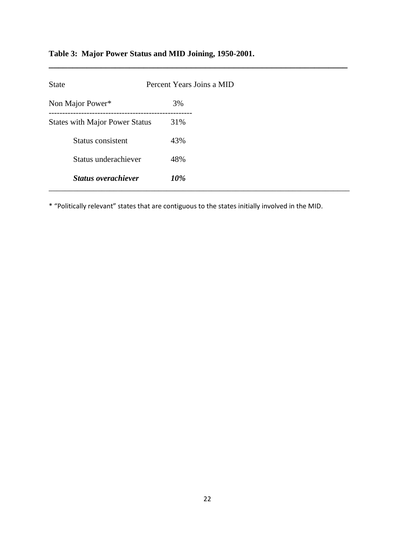# **Table 3: Major Power Status and MID Joining, 1950-2001.**

| <b>State</b>                          | Percent Years Joins a MID |  |
|---------------------------------------|---------------------------|--|
| Non Major Power*                      | 3%                        |  |
| <b>States with Major Power Status</b> | 31%                       |  |
| Status consistent                     | 43%                       |  |
| Status underachiever                  | 48%                       |  |
| <b>Status overachiever</b>            | 10%                       |  |

**\_\_\_\_\_\_\_\_\_\_\_\_\_\_\_\_\_\_\_\_\_\_\_\_\_\_\_\_\_\_\_\_\_\_\_\_\_\_\_\_\_\_\_\_\_\_\_\_\_\_\_\_\_\_\_\_\_\_\_\_\_\_\_**

\* "Politically relevant" states that are contiguous to the states initially involved in the MID.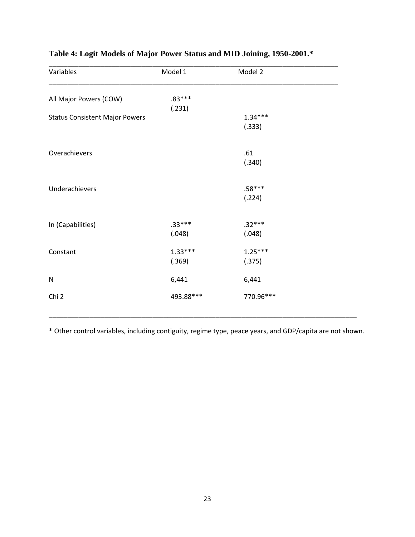| Variables                             | Model 1   | Model 2   |  |
|---------------------------------------|-----------|-----------|--|
| All Major Powers (COW)                | $.83***$  |           |  |
|                                       | (.231)    |           |  |
| <b>Status Consistent Major Powers</b> |           | $1.34***$ |  |
|                                       |           | (.333)    |  |
| Overachievers                         |           | .61       |  |
|                                       |           | (.340)    |  |
|                                       |           |           |  |
| Underachievers                        |           | $.58***$  |  |
|                                       |           | (.224)    |  |
|                                       |           |           |  |
| In (Capabilities)                     | $.33***$  | $.32***$  |  |
|                                       | (.048)    | (.048)    |  |
| Constant                              | $1.33***$ | $1.25***$ |  |
|                                       | (.369)    | (.375)    |  |
| N                                     | 6,441     | 6,441     |  |
| Chi 2                                 | 493.88*** | 770.96*** |  |
|                                       |           |           |  |

# **Table 4: Logit Models of Major Power Status and MID Joining, 1950-2001.\***

\* Other control variables, including contiguity, regime type, peace years, and GDP/capita are not shown.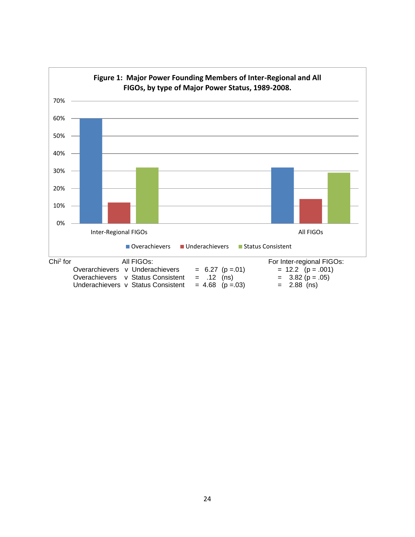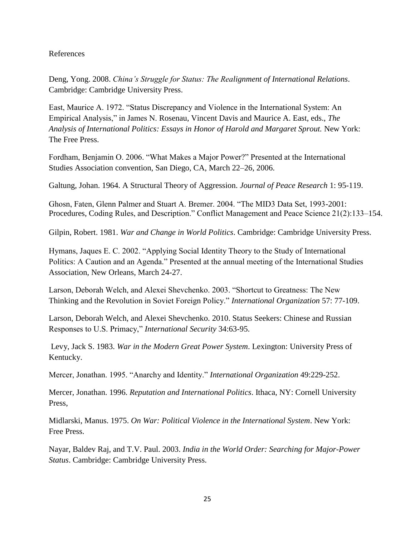### References

Deng, Yong. 2008. *China's Struggle for Status: The Realignment of International Relations*. Cambridge: Cambridge University Press.

East, Maurice A. 1972. "Status Discrepancy and Violence in the International System: An Empirical Analysis," in James N. Rosenau, Vincent Davis and Maurice A. East, eds., *The Analysis of International Politics: Essays in Honor of Harold and Margaret Sprout.* New York: The Free Press.

Fordham, Benjamin O. 2006. "What Makes a Major Power?" Presented at the International Studies Association convention, San Diego, CA, March 22–26, 2006.

Galtung, Johan. 1964. A Structural Theory of Aggression. *Journal of Peace Research* 1: 95-119.

Ghosn, Faten, Glenn Palmer and Stuart A. Bremer. 2004. "The MID3 Data Set, 1993-2001: Procedures, Coding Rules, and Description." Conflict Management and Peace Science 21(2):133–154.

Gilpin, Robert. 1981. *War and Change in World Politics*. Cambridge: Cambridge University Press.

Hymans, Jaques E. C. 2002. "Applying Social Identity Theory to the Study of International Politics: A Caution and an Agenda." Presented at the annual meeting of the International Studies Association, New Orleans, March 24-27.

Larson, Deborah Welch, and Alexei Shevchenko. 2003. "Shortcut to Greatness: The New Thinking and the Revolution in Soviet Foreign Policy." *International Organization* 57: 77-109.

Larson, Deborah Welch, and Alexei Shevchenko. 2010. Status Seekers: Chinese and Russian Responses to U.S. Primacy," *International Security* 34:63-95.

Levy, Jack S. 1983. *War in the Modern Great Power System*. Lexington: University Press of Kentucky.

Mercer, Jonathan. 1995. "Anarchy and Identity." *International Organization* 49:229-252.

Mercer, Jonathan. 1996. *Reputation and International Politics*. Ithaca, NY: Cornell University Press,

Midlarski, Manus. 1975. *On War: Political Violence in the International System*. New York: Free Press.

Nayar, Baldev Raj, and T.V. Paul. 2003. *India in the World Order: Searching for Major-Power Status*. Cambridge: Cambridge University Press.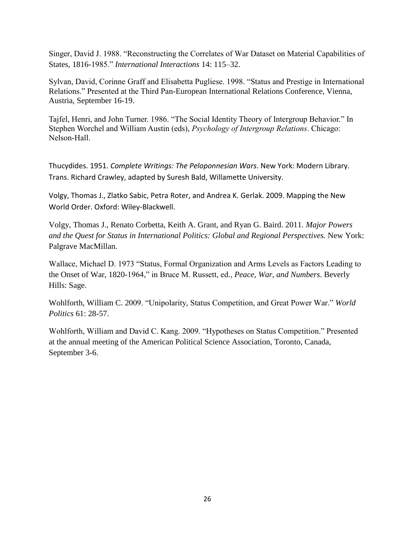Singer, David J. 1988. "Reconstructing the Correlates of War Dataset on Material Capabilities of States, 1816-1985." *International Interactions* 14: 115–32.

Sylvan, David, Corinne Graff and Elisabetta Pugliese. 1998. "Status and Prestige in International Relations." Presented at the Third Pan-European International Relations Conference, Vienna, Austria, September 16-19.

Tajfel, Henri, and John Turner. 1986. "The Social Identity Theory of Intergroup Behavior." In Stephen Worchel and William Austin (eds), *Psychology of Intergroup Relations*. Chicago: Nelson-Hall.

Thucydides. 1951. *Complete Writings: The Peloponnesian Wars*. New York: Modern Library. Trans. Richard Crawley, adapted by Suresh Bald, Willamette University.

Volgy, Thomas J., Zlatko Sabic, Petra Roter, and Andrea K. Gerlak. 2009. Mapping the New World Order. Oxford: Wiley-Blackwell.

Volgy, Thomas J., Renato Corbetta, Keith A. Grant, and Ryan G. Baird. 2011. *Major Powers and the Quest for Status in International Politics: Global and Regional Perspectives.* New York: Palgrave MacMillan.

Wallace, Michael D. 1973 "Status, Formal Organization and Arms Levels as Factors Leading to the Onset of War, 1820-1964," in Bruce M. Russett, ed., *Peace, War, and Numbers*. Beverly Hills: Sage.

Wohlforth, William C. 2009. "Unipolarity, Status Competition, and Great Power War." *World Politics* 61: 28-57.

Wohlforth, William and David C. Kang. 2009. "Hypotheses on Status Competition." Presented at the annual meeting of the American Political Science Association, Toronto, Canada, September 3-6.